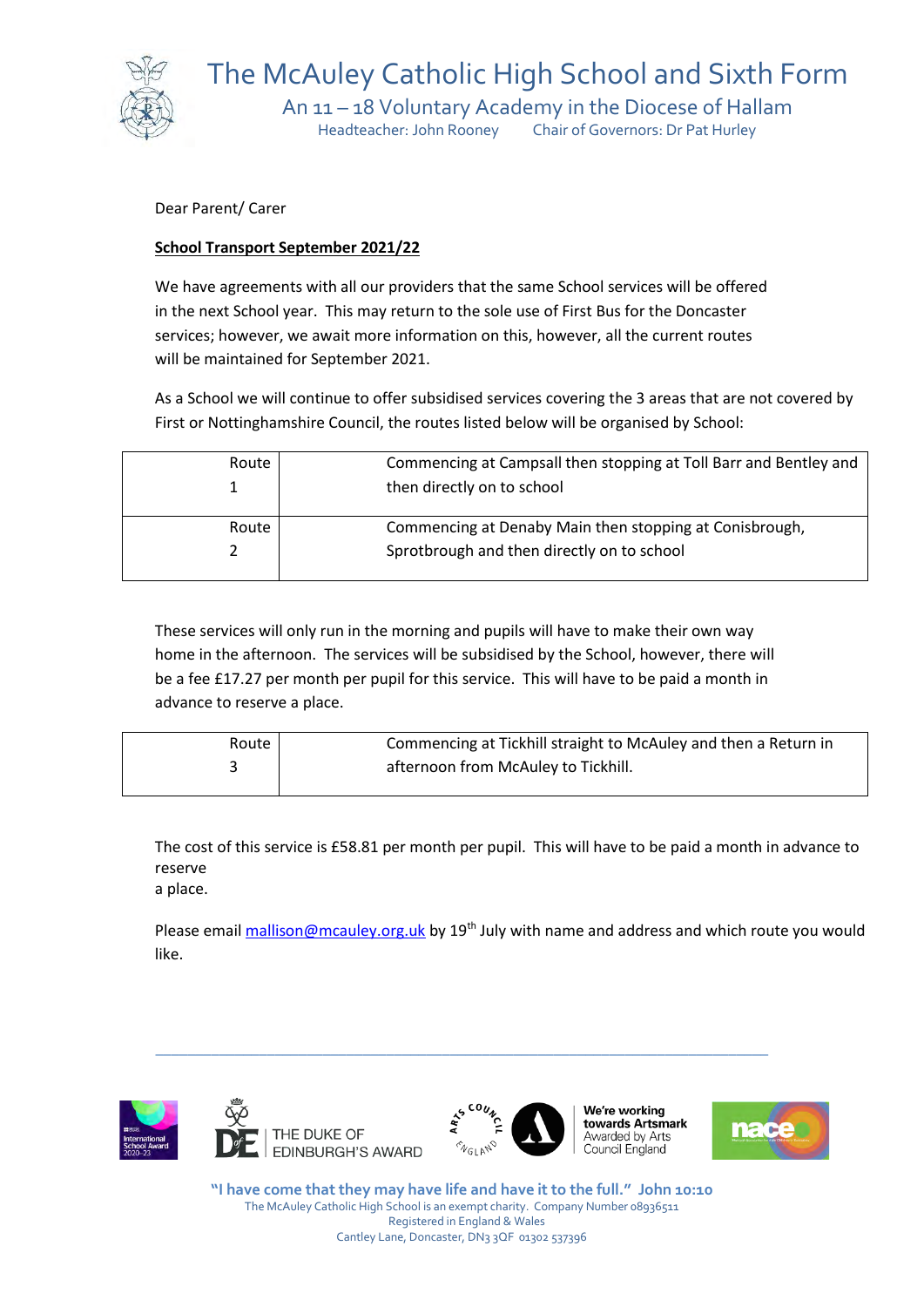

The McAuley Catholic High School and Sixth Form An 11 – 18 Voluntary Academy in the Diocese of Hallam Headteacher: John Rooney Chair of Governors: Dr Pat Hurley

Dear Parent/ Carer

## **School Transport September 2021/22**

We have agreements with all our providers that the same School services will be offered in the next School year. This may return to the sole use of First Bus for the Doncaster services; however, we await more information on this, however, all the current routes will be maintained for September 2021.

As a School we will continue to offer subsidised services covering the 3 areas that are not covered by First or Nottinghamshire Council, the routes listed below will be organised by School:

| Route | Commencing at Campsall then stopping at Toll Barr and Bentley and<br>then directly on to school |
|-------|-------------------------------------------------------------------------------------------------|
| Route | Commencing at Denaby Main then stopping at Conisbrough,                                         |
|       | Sprotbrough and then directly on to school                                                      |

These services will only run in the morning and pupils will have to make their own way home in the afternoon. The services will be subsidised by the School, however, there will be a fee £17.27 per month per pupil for this service. This will have to be paid a month in advance to reserve a place.

| Route | Commencing at Tickhill straight to McAuley and then a Return in |
|-------|-----------------------------------------------------------------|
|       | afternoon from McAuley to Tickhill.                             |
|       |                                                                 |

The cost of this service is £58.81 per month per pupil. This will have to be paid a month in advance to reserve

a place.

Please email [mallison@mcauley.org.uk](mailto:mallison@mcauley.org.uk) by 19<sup>th</sup> July with name and address and which route you would like.







We're workina towards Artsmark Awarded by Arts Council England



**"I have come that they may have life and have it to the full." John 10:10** The McAuley Catholic High School is an exempt charity. Company Number 08936511 Registered in England & Wales Cantley Lane, Doncaster, DN3 3QF 01302 537396

**\_\_\_\_\_\_\_\_\_\_\_\_\_\_\_\_\_\_\_\_\_\_\_\_\_\_\_\_\_\_\_\_\_\_\_\_\_\_\_\_\_\_\_\_\_\_\_\_\_\_\_\_\_\_\_\_\_\_\_\_\_\_\_\_\_\_\_\_\_\_\_\_\_\_\_\_\_**